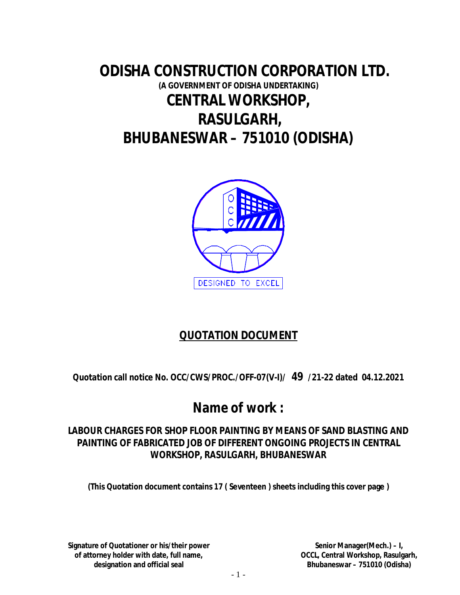# **ODISHA CONSTRUCTION CORPORATION LTD. (A GOVERNMENT OF ODISHA UNDERTAKING) CENTRAL WORKSHOP, RASULGARH, BHUBANESWAR – 751010 (ODISHA)**



# **QUOTATION DOCUMENT**

**Quotation call notice No. OCC/CWS/PROC./OFF-07(V-I)/ 49 /21-22 dated 04.12.2021**

# **Name of work :**

## **LABOUR CHARGES FOR SHOP FLOOR PAINTING BY MEANS OF SAND BLASTING AND PAINTING OF FABRICATED JOB OF DIFFERENT ONGOING PROJECTS IN CENTRAL WORKSHOP, RASULGARH, BHUBANESWAR**

**(This Quotation document contains 17 ( Seventeen ) sheets including this cover page )**

**Signature of Quotationer or his/their power of attorney holder with date, full name, designation and official seal**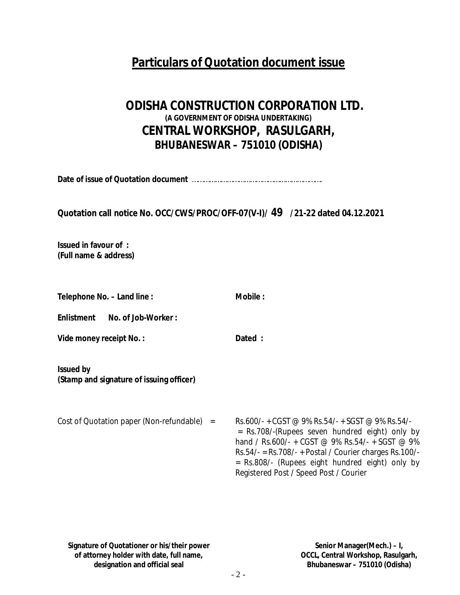# **Particulars of Quotation document issue**

# **ODISHA CONSTRUCTION CORPORATION LTD. (A GOVERNMENT OF ODISHA UNDERTAKING) CENTRAL WORKSHOP, RASULGARH, BHUBANESWAR – 751010 (ODISHA)**

**Date of issue of Quotation document** ………………………………………………………….

## **Quotation call notice No. OCC/CWS/PROC/OFF-07(V-I)/ 49 /21-22 dated 04.12.2021**

**Issued in favour of : (Full name & address)**

| Telephone No. – Land line :                                  | Mobile:                                                                                                                                                                                                                                                                                                        |
|--------------------------------------------------------------|----------------------------------------------------------------------------------------------------------------------------------------------------------------------------------------------------------------------------------------------------------------------------------------------------------------|
| Enlistment<br>No. of Job-Worker:                             |                                                                                                                                                                                                                                                                                                                |
| Vide money receipt No. :                                     | Dated :                                                                                                                                                                                                                                                                                                        |
| <b>Issued by</b><br>(Stamp and signature of issuing officer) |                                                                                                                                                                                                                                                                                                                |
| Cost of Quotation paper (Non-refundable) $=$                 | Rs.600/- + CGST @ 9% Rs.54/- + SGST @ 9% Rs.54/-<br>= Rs.708/-(Rupees seven hundred eight) only by<br>hand / Rs.600/- + CGST @ 9% Rs.54/- + SGST @ 9%<br>$Rs.54/- = Rs.708/- + Postal / Counter charges Rs.100/-$<br>= Rs.808/- (Rupees eight hundred eight) only by<br>Registered Post / Speed Post / Courier |

**Signature of Quotationer or his/their power of attorney holder with date, full name, designation and official seal**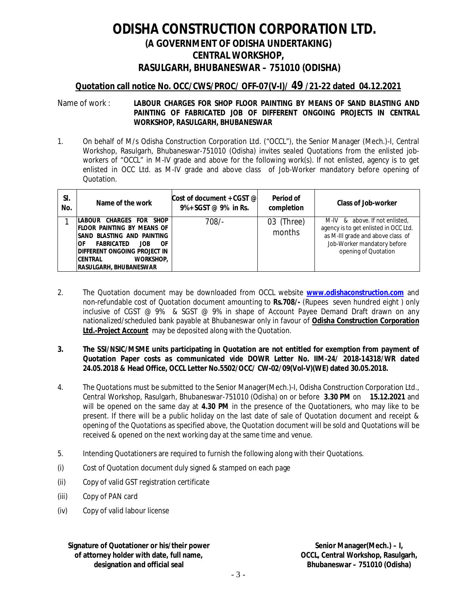# **ODISHA CONSTRUCTION CORPORATION LTD. (A GOVERNMENT OF ODISHA UNDERTAKING) CENTRAL WORKSHOP, RASULGARH, BHUBANESWAR – 751010 (ODISHA)**

### **Quotation call notice No. OCC/CWS/PROC/ OFF-07(V-I)/ 49 /21-22 dated 04.12.2021**

#### Name of work : **LABOUR CHARGES FOR SHOP FLOOR PAINTING BY MEANS OF SAND BLASTING AND PAINTING OF FABRICATED JOB OF DIFFERENT ONGOING PROJECTS IN CENTRAL WORKSHOP, RASULGARH, BHUBANESWAR**

1. On behalf of M/s Odisha Construction Corporation Ltd. ("OCCL"), the Senior Manager (Mech.)-I, Central Workshop, Rasulgarh, Bhubaneswar-751010 (Odisha) invites sealed Quotations from the enlisted jobworkers of "OCCL" in M-IV grade and above for the following work(s). If not enlisted, agency is to get enlisted in OCC Ltd. as M-IV grade and above class of Job-Worker mandatory before opening of Quotation.

| SI.<br>No. | Name of the work                                                                                                                                                                                                                                    | Cost of document + CGST @<br>$9\% + SGST \ @ \ 9\% \text{ in Rs.}$ | Period of<br>completion | Class of Job-worker                                                                                                                                                 |
|------------|-----------------------------------------------------------------------------------------------------------------------------------------------------------------------------------------------------------------------------------------------------|--------------------------------------------------------------------|-------------------------|---------------------------------------------------------------------------------------------------------------------------------------------------------------------|
|            | LABOUR CHARGES FOR SHOP<br><b>IFLOOR PAINTING BY MEANS OF</b><br>ISAND BLASTING AND PAINTING<br><b>FABRICATED</b><br>0F<br>ЮF<br><b>JOB</b><br>idifferent ongoing project in<br><b>CENTRAL</b><br><b>WORKSHOP.</b><br><b>RASULGARH, BHUBANESWAR</b> | 708/-                                                              | 03 (Three)<br>months    | M-IV & above. If not enlisted,<br>agency is to get enlisted in OCC Ltd.<br>as M-III grade and above class of<br>Job-Worker mandatory before<br>opening of Quotation |

2. The Quotation document may be downloaded from OCCL website **www.odishaconstruction.com** and non-refundable cost of Quotation document amounting to **Rs.708/-** (Rupees seven hundred eight ) only inclusive of CGST @ 9% & SGST @ 9% in shape of Account Payee Demand Draft drawn on any nationalized/scheduled bank payable at Bhubaneswar only in favour of **Odisha Construction Corporation Ltd.-Project Account** may be deposited along with the Quotation.

#### **3. The SSI/NSIC/MSME units participating in Quotation are not entitled for exemption from payment of Quotation Paper costs as communicated vide DOWR Letter No. IIM-24/ 2018-14318/WR dated 24.05.2018 & Head Office, OCCL Letter No.5502/OCC/ CW-02/09(Vol-V)(WE) dated 30.05.2018.**

- 4. The Quotations must be submitted to the Senior Manager(Mech.)-I, Odisha Construction Corporation Ltd., Central Workshop, Rasulgarh, Bhubaneswar-751010 (Odisha) on or before **3.30 PM** on **15.12.2021** and will be opened on the same day at **4.30 PM** in the presence of the Quotationers, who may like to be present. If there will be a public holiday on the last date of sale of Quotation document and receipt & opening of the Quotations as specified above, the Quotation document will be sold and Quotations will be received & opened on the next working day at the same time and venue.
- 5. Intending Quotationers are required to furnish the following along with their Quotations.
- (i) Cost of Quotation document duly signed & stamped on each page
- (ii) Copy of valid GST registration certificate
- (iii) Copy of PAN card
- (iv) Copy of valid labour license

**Signature of Quotationer or his/their power of attorney holder with date, full name, designation and official seal**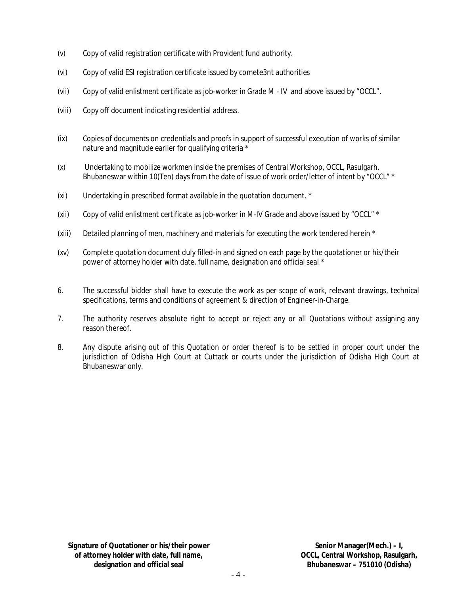- (v) Copy of valid registration certificate with Provident fund authority.
- (vi) Copy of valid ESI registration certificate issued by comete3nt authorities
- (vii) Copy of valid enlistment certificate as job-worker in Grade M IV and above issued by "OCCL".
- (viii) Copy off document indicating residential address.
- (ix) Copies of documents on credentials and proofs in support of successful execution of works of similar nature and magnitude earlier for qualifying criteria \*
- (x) Undertaking to mobilize workmen inside the premises of Central Workshop, OCCL, Rasulgarh, Bhubaneswar within 10(Ten) days from the date of issue of work order/letter of intent by "OCCL" \*
- (xi) Undertaking in prescribed format available in the quotation document. \*
- (xii) Copy of valid enlistment certificate as job-worker in M-IV Grade and above issued by "OCCL" \*
- (xiii) Detailed planning of men, machinery and materials for executing the work tendered herein \*
- (xv) Complete quotation document duly filled-in and signed on each page by the quotationer or his/their power of attorney holder with date, full name, designation and official seal \*
- 6. The successful bidder shall have to execute the work as per scope of work, relevant drawings, technical specifications, terms and conditions of agreement & direction of Engineer-in-Charge.
- 7. The authority reserves absolute right to accept or reject any or all Quotations without assigning any reason thereof.
- 8. Any dispute arising out of this Quotation or order thereof is to be settled in proper court under the jurisdiction of Odisha High Court at Cuttack or courts under the jurisdiction of Odisha High Court at Bhubaneswar only.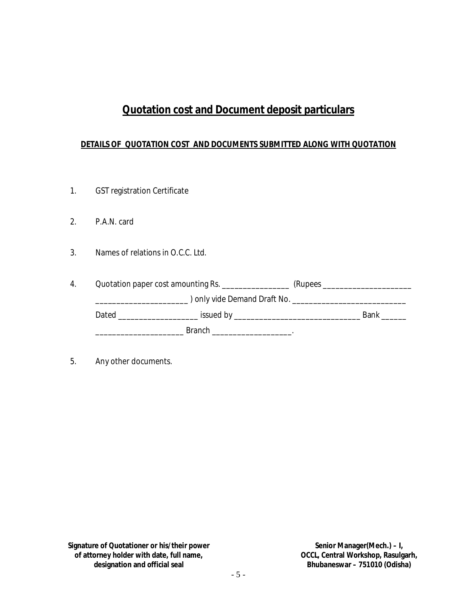# **Quotation cost and Document deposit particulars**

### **DETAILS OF QUOTATION COST AND DOCUMENTS SUBMITTED ALONG WITH QUOTATION**

- 1. GST registration Certificate
- 2. P.A.N. card
- 3. Names of relations in O.C.C. Ltd.

| 4. |       | Quotation paper cost amounting Rs. ______________                                                                                                                                                                             |             |
|----|-------|-------------------------------------------------------------------------------------------------------------------------------------------------------------------------------------------------------------------------------|-------------|
|    |       |                                                                                                                                                                                                                               |             |
|    | Dated | issued by the contract of the contract of the contract of the contract of the contract of the contract of the contract of the contract of the contract of the contract of the contract of the contract of the contract of the | <b>Bank</b> |
|    |       | Branch                                                                                                                                                                                                                        |             |

5. Any other documents.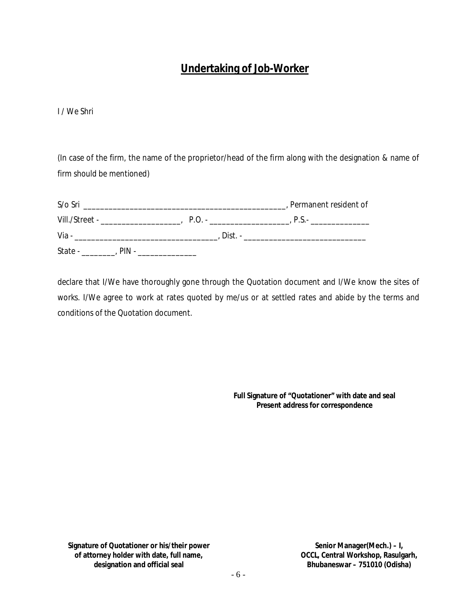# **Undertaking of Job-Worker**

I / We Shri

(In case of the firm, the name of the proprietor/head of the firm along with the designation & name of firm should be mentioned)

| S/o Sri          |            | , Permanent resident of |
|------------------|------------|-------------------------|
| Vill./Street -   | $P \cap -$ | $P.S. -$                |
| Via -            | Dist. -    |                         |
| State -<br>PIN - |            |                         |

declare that I/We have thoroughly gone through the Quotation document and I/We know the sites of works. I/We agree to work at rates quoted by me/us or at settled rates and abide by the terms and conditions of the Quotation document.

> **Full Signature of "Quotationer" with date and seal Present address for correspondence**

**Signature of Quotationer or his/their power of attorney holder with date, full name, designation and official seal**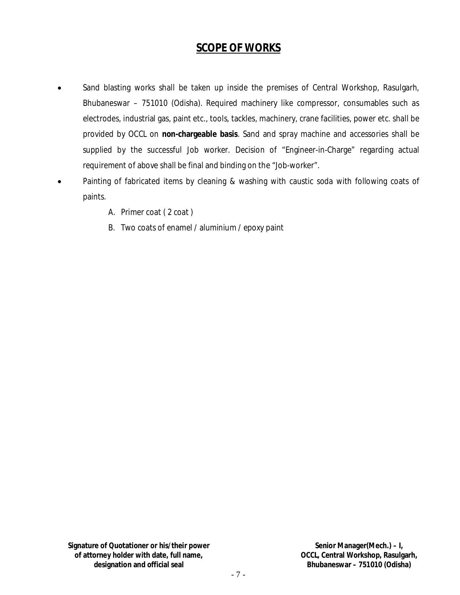## **SCOPE OF WORKS**

- Sand blasting works shall be taken up inside the premises of Central Workshop, Rasulgarh, Bhubaneswar – 751010 (Odisha). Required machinery like compressor, consumables such as electrodes, industrial gas, paint etc., tools, tackles, machinery, crane facilities, power etc. shall be provided by OCCL on **non-chargeable basis**. Sand and spray machine and accessories shall be supplied by the successful Job worker. Decision of "Engineer-in-Charge" regarding actual requirement of above shall be final and binding on the "Job-worker".
- Painting of fabricated items by cleaning & washing with caustic soda with following coats of paints.
	- A. Primer coat ( 2 coat )
	- B. Two coats of enamel / aluminium / epoxy paint

**Signature of Quotationer or his/their power of attorney holder with date, full name, designation and official seal**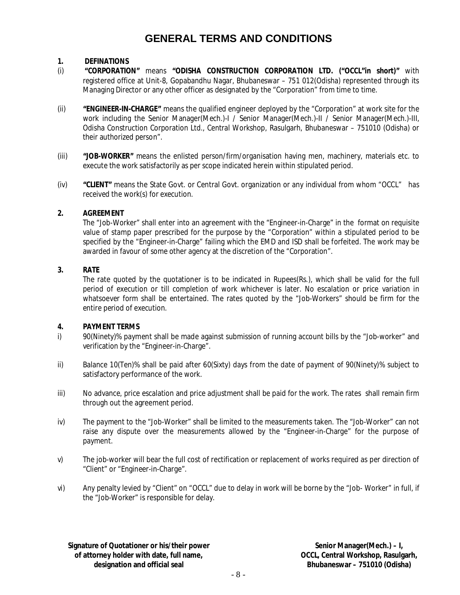# **GENERAL TERMS AND CONDITIONS**

### **1. DEFINATIONS**

- (i) **"CORPORATION"** means **"ODISHA CONSTRUCTION CORPORATION LTD. ("OCCL"in short)"** with registered office at Unit-8, Gopabandhu Nagar, Bhubaneswar – 751 012(Odisha) represented through its Managing Director or any other officer as designated by the "Corporation" from time to time.
- (ii) **"ENGINEER-IN-CHARGE"** means the qualified engineer deployed by the "Corporation" at work site for the work including the Senior Manager(Mech.)-I / Senior Manager(Mech.)-II / Senior Manager(Mech.)-III, Odisha Construction Corporation Ltd., Central Workshop, Rasulgarh, Bhubaneswar – 751010 (Odisha) or their authorized person".
- (iii) **"JOB-WORKER"** means the enlisted person/firm/organisation having men, machinery, materials etc. to execute the work satisfactorily as per scope indicated herein within stipulated period.
- (iv) **"CLIENT"** means the State Govt. or Central Govt. organization or any individual from whom "OCCL" has received the work(s) for execution.

#### **2. AGREEMENT**

The "Job-Worker" shall enter into an agreement with the "Engineer-in-Charge" in the format on requisite value of stamp paper prescribed for the purpose by the "Corporation" within a stipulated period to be specified by the "Engineer-in-Charge" failing which the EMD and ISD shall be forfeited. The work may be awarded in favour of some other agency at the discretion of the "Corporation".

#### **3. RATE**

The rate quoted by the quotationer is to be indicated in Rupees(Rs.), which shall be valid for the full period of execution or till completion of work whichever is later. No escalation or price variation in whatsoever form shall be entertained. The rates quoted by the "Job-Workers" should be firm for the entire period of execution.

### **4. PAYMENT TERMS**

- i) 90(Ninety)% payment shall be made against submission of running account bills by the "Job-worker" and verification by the "Engineer-in-Charge".
- ii) Balance 10(Ten)% shall be paid after 60(Sixty) days from the date of payment of 90(Ninety)% subject to satisfactory performance of the work.
- iii) No advance, price escalation and price adjustment shall be paid for the work. The rates shall remain firm through out the agreement period.
- iv) The payment to the "Job-Worker" shall be limited to the measurements taken. The "Job-Worker" can not raise any dispute over the measurements allowed by the "Engineer-in-Charge" for the purpose of payment.
- v) The job-worker will bear the full cost of rectification or replacement of works required as per direction of "Client" or "Engineer-in-Charge".
- vi) Any penalty levied by "Client" on "OCCL" due to delay in work will be borne by the "Job- Worker" in full, if the "Job-Worker" is responsible for delay.

**Signature of Quotationer or his/their power of attorney holder with date, full name, designation and official seal**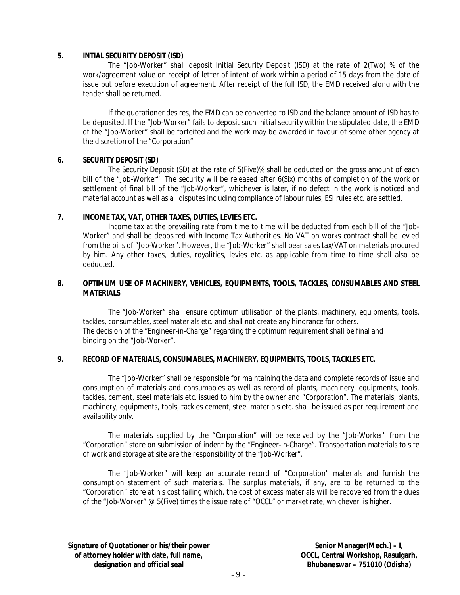#### **5. INTIAL SECURITY DEPOSIT (ISD)**

The "Job-Worker" shall deposit Initial Security Deposit (ISD) at the rate of 2(Two) % of the work/agreement value on receipt of letter of intent of work within a period of 15 days from the date of issue but before execution of agreement. After receipt of the full ISD, the EMD received along with the tender shall be returned.

If the quotationer desires, the EMD can be converted to ISD and the balance amount of ISD has to be deposited. If the "Job-Worker" fails to deposit such initial security within the stipulated date, the EMD of the "Job-Worker" shall be forfeited and the work may be awarded in favour of some other agency at the discretion of the "Corporation".

#### **6. SECURITY DEPOSIT (SD)**

The Security Deposit (SD) at the rate of 5(Five)% shall be deducted on the gross amount of each bill of the "Job-Worker". The security will be released after 6(Six) months of completion of the work or settlement of final bill of the "Job-Worker", whichever is later, if no defect in the work is noticed and material account as well as all disputes including compliance of labour rules, ESI rules etc. are settled.

#### **7. INCOME TAX, VAT, OTHER TAXES, DUTIES, LEVIES ETC.**

Income tax at the prevailing rate from time to time will be deducted from each bill of the "Job-Worker" and shall be deposited with Income Tax Authorities. No VAT on works contract shall be levied from the bills of "Job-Worker". However, the "Job-Worker" shall bear sales tax/VAT on materials procured by him. Any other taxes, duties, royalities, levies etc. as applicable from time to time shall also be deducted.

#### **8. OPTIMUM USE OF MACHINERY, VEHICLES, EQUIPMENTS, TOOLS, TACKLES, CONSUMABLES AND STEEL MATERIALS**

The "Job-Worker" shall ensure optimum utilisation of the plants, machinery, equipments, tools, tackles, consumables, steel materials etc. and shall not create any hindrance for others. The decision of the "Engineer-in-Charge" regarding the optimum requirement shall be final and binding on the "Job-Worker".

#### **9. RECORD OF MATERIALS, CONSUMABLES, MACHINERY, EQUIPMENTS, TOOLS, TACKLES ETC.**

The "Job-Worker" shall be responsible for maintaining the data and complete records of issue and consumption of materials and consumables as well as record of plants, machinery, equipments, tools, tackles, cement, steel materials etc. issued to him by the owner and "Corporation". The materials, plants, machinery, equipments, tools, tackles cement, steel materials etc. shall be issued as per requirement and availability only.

The materials supplied by the "Corporation" will be received by the "Job-Worker" from the "Corporation" store on submission of indent by the "Engineer-in-Charge". Transportation materials to site of work and storage at site are the responsibility of the "Job-Worker".

The "Job-Worker" will keep an accurate record of "Corporation" materials and furnish the consumption statement of such materials. The surplus materials, if any, are to be returned to the "Corporation" store at his cost failing which, the cost of excess materials will be recovered from the dues of the "Job-Worker" @ 5(Five) times the issue rate of "OCCL" or market rate, whichever is higher.

**Signature of Quotationer or his/their power of attorney holder with date, full name, designation and official seal**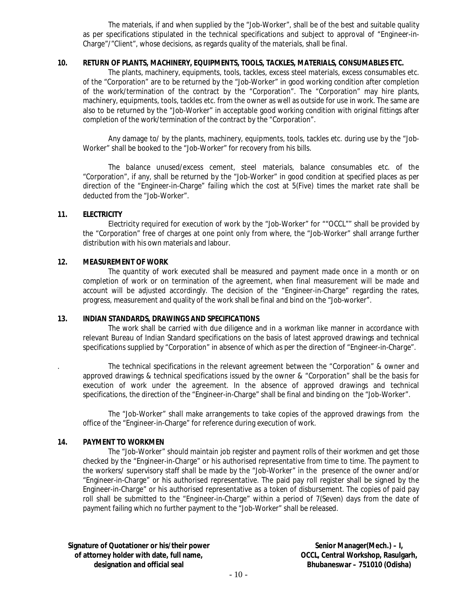The materials, if and when supplied by the "Job-Worker", shall be of the best and suitable quality as per specifications stipulated in the technical specifications and subject to approval of "Engineer-in-Charge"/"Client", whose decisions, as regards quality of the materials, shall be final.

#### **10. RETURN OF PLANTS, MACHINERY, EQUIPMENTS, TOOLS, TACKLES, MATERIALS, CONSUMABLES ETC.**

The plants, machinery, equipments, tools, tackles, excess steel materials, excess consumables etc. of the "Corporation" are to be returned by the "Job-Worker" in good working condition after completion of the work/termination of the contract by the "Corporation". The "Corporation" may hire plants, machinery, equipments, tools, tackles etc. from the owner as well as outside for use in work. The same are also to be returned by the "Job-Worker" in acceptable good working condition with original fittings after completion of the work/termination of the contract by the "Corporation".

Any damage to/ by the plants, machinery, equipments, tools, tackles etc. during use by the "Job-Worker" shall be booked to the "Job-Worker" for recovery from his bills.

The balance unused/excess cement, steel materials, balance consumables etc. of the "Corporation", if any, shall be returned by the "Job-Worker" in good condition at specified places as per direction of the "Engineer-in-Charge" failing which the cost at 5(Five) times the market rate shall be deducted from the "Job-Worker".

#### **11. ELECTRICITY**

Electricity required for execution of work by the "Job-Worker" for ""OCCL"" shall be provided by the "Corporation" free of charges at one point only from where, the "Job-Worker" shall arrange further distribution with his own materials and labour.

#### **12. MEASUREMENT OF WORK**

The quantity of work executed shall be measured and payment made once in a month or on completion of work or on termination of the agreement, when final measurement will be made and account will be adjusted accordingly. The decision of the "Engineer-in-Charge" regarding the rates, progress, measurement and quality of the work shall be final and bind on the "Job-worker".

#### **13. INDIAN STANDARDS, DRAWINGS AND SPECIFICATIONS**

The work shall be carried with due diligence and in a workman like manner in accordance with relevant Bureau of Indian Standard specifications on the basis of latest approved drawings and technical specifications supplied by "Corporation" in absence of which as per the direction of "Engineer-in-Charge".

. The technical specifications in the relevant agreement between the "Corporation" & owner and approved drawings & technical specifications issued by the owner & "Corporation" shall be the basis for execution of work under the agreement. In the absence of approved drawings and technical specifications, the direction of the "Engineer-in-Charge" shall be final and binding on the "Job-Worker".

The "Job-Worker" shall make arrangements to take copies of the approved drawings from the office of the "Engineer-in-Charge" for reference during execution of work.

#### **14. PAYMENT TO WORKMEN**

The "Job-Worker" should maintain job register and payment rolls of their workmen and get those checked by the "Engineer-in-Charge" or his authorised representative from time to time. The payment to the workers/ supervisory staff shall be made by the "Job-Worker" in the presence of the owner and/or "Engineer-in-Charge" or his authorised representative. The paid pay roll register shall be signed by the Engineer-in-Charge" or his authorised representative as a token of disbursement. The copies of paid pay roll shall be submitted to the "Engineer-in-Charge" within a period of 7(Seven) days from the date of payment failing which no further payment to the "Job-Worker" shall be released.

**Signature of Quotationer or his/their power of attorney holder with date, full name, designation and official seal**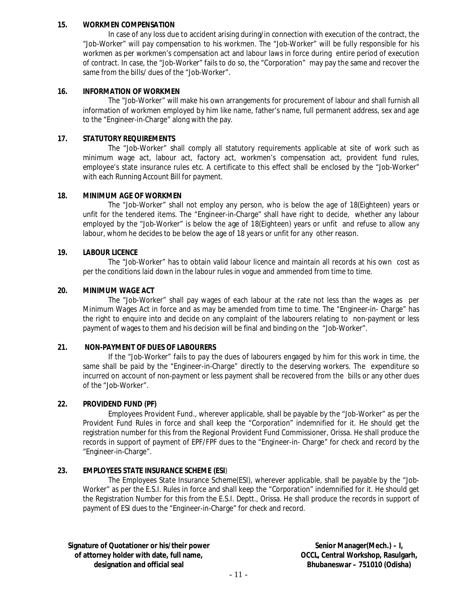#### **15. WORKMEN COMPENSATION**

In case of any loss due to accident arising during/in connection with execution of the contract, the "Job-Worker" will pay compensation to his workmen. The "Job-Worker" will be fully responsible for his workmen as per workmen's compensation act and labour laws in force during entire period of execution of contract. In case, the "Job-Worker" fails to do so, the "Corporation" may pay the same and recover the same from the bills/ dues of the "Job-Worker".

#### **16. INFORMATION OF WORKMEN**

The "Job-Worker" will make his own arrangements for procurement of labour and shall furnish all information of workmen employed by him like name, father's name, full permanent address, sex and age to the "Engineer-in-Charge" along with the pay.

#### **17. STATUTORY REQUIREMENTS**

The "Job-Worker" shall comply all statutory requirements applicable at site of work such as minimum wage act, labour act, factory act, workmen's compensation act, provident fund rules, employee's state insurance rules etc. A certificate to this effect shall be enclosed by the "Job-Worker" with each Running Account Bill for payment.

#### **18. MINIMUM AGE OF WORKMEN**

The "Job-Worker" shall not employ any person, who is below the age of 18(Eighteen) years or unfit for the tendered items. The "Engineer-in-Charge" shall have right to decide, whether any labour employed by the "Job-Worker" is below the age of 18(Eighteen) years or unfit and refuse to allow any labour, whom he decides to be below the age of 18 years or unfit for any other reason.

#### **19. LABOUR LICENCE**

The "Job-Worker" has to obtain valid labour licence and maintain all records at his own cost as per the conditions laid down in the labour rules in vogue and ammended from time to time.

#### **20. MINIMUM WAGE ACT**

The "Job-Worker" shall pay wages of each labour at the rate not less than the wages as per Minimum Wages Act in force and as may be amended from time to time. The "Engineer-in- Charge" has the right to enquire into and decide on any complaint of the labourers relating to non-payment or less payment of wages to them and his decision will be final and binding on the "Job-Worker".

#### **21. NON-PAYMENT OF DUES OF LABOURERS**

If the "Job-Worker" fails to pay the dues of labourers engaged by him for this work in time, the same shall be paid by the "Engineer-in-Charge" directly to the deserving workers. The expenditure so incurred on account of non-payment or less payment shall be recovered from the bills or any other dues of the "Job-Worker".

#### **22. PROVIDEND FUND (PF)**

Employees Provident Fund., wherever applicable, shall be payable by the "Job-Worker" as per the Provident Fund Rules in force and shall keep the "Corporation" indemnified for it. He should get the registration number for this from the Regional Provident Fund Commissioner, Orissa. He shall produce the records in support of payment of EPF/FPF dues to the "Engineer-in- Charge" for check and record by the "Engineer-in-Charge".

#### **23. EMPLOYEES STATE INSURANCE SCHEME (ESI**)

The Employees State Insurance Scheme(ESI), wherever applicable, shall be payable by the "Job-Worker" as per the E.S.I. Rules in force and shall keep the "Corporation" indemnified for it. He should get the Registration Number for this from the E.S.I. Deptt., Orissa. He shall produce the records in support of payment of ESI dues to the "Engineer-in-Charge" for check and record.

**Signature of Quotationer or his/their power of attorney holder with date, full name, designation and official seal**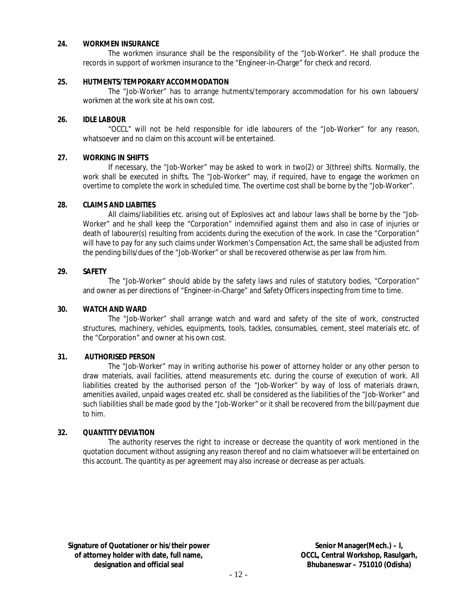#### **24. WORKMEN INSURANCE**

The workmen insurance shall be the responsibility of the "Job-Worker". He shall produce the records in support of workmen insurance to the "Engineer-in-Charge" for check and record.

#### **25. HUTMENTS/TEMPORARY ACCOMMODATION**

The "Job-Worker" has to arrange hutments/temporary accommodation for his own labouers/ workmen at the work site at his own cost.

#### **26. IDLE LABOUR**

"OCCL" will not be held responsible for idle labourers of the "Job-Worker" for any reason, whatsoever and no claim on this account will be entertained.

#### **27. WORKING IN SHIFTS**

If necessary, the "Job-Worker" may be asked to work in two(2) or 3(three) shifts. Normally, the work shall be executed in shifts. The "Job-Worker" may, if required, have to engage the workmen on overtime to complete the work in scheduled time. The overtime cost shall be borne by the "Job-Worker".

#### **28. CLAIMS AND LIABITIES**

All claims/liabilities etc. arising out of Explosives act and labour laws shall be borne by the "Job-Worker" and he shall keep the "Corporation" indemnified against them and also in case of injuries or death of labourer(s) resulting from accidents during the execution of the work. In case the "Corporation" will have to pay for any such claims under Workmen's Compensation Act, the same shall be adjusted from the pending bills/dues of the "Job-Worker" or shall be recovered otherwise as per law from him.

#### **29. SAFETY**

The "Job-Worker" should abide by the safety laws and rules of statutory bodies, "Corporation" and owner as per directions of "Engineer-in-Charge" and Safety Officers inspecting from time to time.

#### **30. WATCH AND WARD**

The "Job-Worker" shall arrange watch and ward and safety of the site of work, constructed structures, machinery, vehicles, equipments, tools, tackles, consumables, cement, steel materials etc. of the "Corporation" and owner at his own cost.

#### **31. AUTHORISED PERSON**

The "Job-Worker" may in writing authorise his power of attorney holder or any other person to draw materials, avail facilities, attend measurements etc. during the course of execution of work. All liabilities created by the authorised person of the "Job-Worker" by way of loss of materials drawn, amenities availed, unpaid wages created etc. shall be considered as the liabilities of the "Job-Worker" and such liabilities shall be made good by the "Job-Worker" or it shall be recovered from the bill/payment due to him.

#### **32. QUANTITY DEVIATION**

The authority reserves the right to increase or decrease the quantity of work mentioned in the quotation document without assigning any reason thereof and no claim whatsoever will be entertained on this account. The quantity as per agreement may also increase or decrease as per actuals.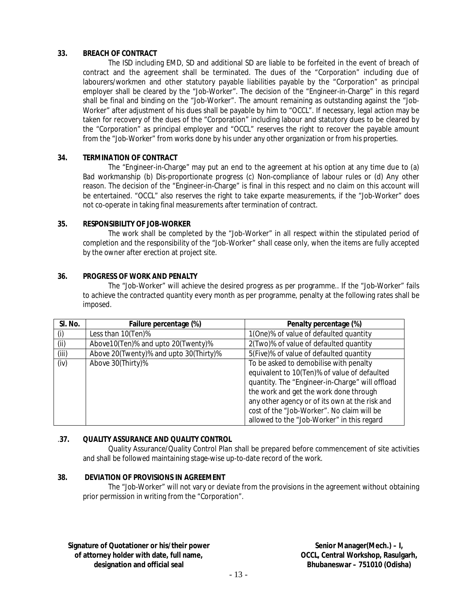#### **33. BREACH OF CONTRACT**

The ISD including EMD, SD and additional SD are liable to be forfeited in the event of breach of contract and the agreement shall be terminated. The dues of the "Corporation" including due of labourers/workmen and other statutory payable liabilities payable by the "Corporation" as principal employer shall be cleared by the "Job-Worker". The decision of the "Engineer-in-Charge" in this regard shall be final and binding on the "Job-Worker". The amount remaining as outstanding against the "Job-Worker" after adjustment of his dues shall be payable by him to "OCCL". If necessary, legal action may be taken for recovery of the dues of the "Corporation" including labour and statutory dues to be cleared by the "Corporation" as principal employer and "OCCL" reserves the right to recover the payable amount from the "Job-Worker" from works done by his under any other organization or from his properties.

#### **34. TERMINATION OF CONTRACT**

The "Engineer-in-Charge" may put an end to the agreement at his option at any time due to (a) Bad workmanship (b) Dis-proportionate progress (c) Non-compliance of labour rules or (d) Any other reason. The decision of the "Engineer-in-Charge" is final in this respect and no claim on this account will be entertained. "OCCL" also reserves the right to take exparte measurements, if the "Job-Worker" does not co-operate in taking final measurements after termination of contract.

#### **35. RESPONSIBILITY OF JOB-WORKER**

The work shall be completed by the "Job-Worker" in all respect within the stipulated period of completion and the responsibility of the "Job-Worker" shall cease only, when the items are fully accepted by the owner after erection at project site.

#### **36. PROGRESS OF WORK AND PENALTY**

The "Job-Worker" will achieve the desired progress as per programme.. If the "Job-Worker" fails to achieve the contracted quantity every month as per programme, penalty at the following rates shall be imposed.

| SI. No. | Failure percentage (%)                 | Penalty percentage (%)                          |  |  |  |
|---------|----------------------------------------|-------------------------------------------------|--|--|--|
| (i)     | Less than 10(Ten)%                     | 1(One)% of value of defaulted quantity          |  |  |  |
| (i)     | Above10(Ten)% and upto 20(Twenty)%     | 2(Two)% of value of defaulted quantity          |  |  |  |
| (iii)   | Above 20(Twenty)% and upto 30(Thirty)% | 5(Five)% of value of defaulted quantity         |  |  |  |
| (iv)    | Above 30(Thirty)%                      | To be asked to demobilise with penalty          |  |  |  |
|         |                                        | equivalent to 10(Ten)% of value of defaulted    |  |  |  |
|         |                                        | quantity. The "Engineer-in-Charge" will offload |  |  |  |
|         |                                        | the work and get the work done through          |  |  |  |
|         |                                        | any other agency or of its own at the risk and  |  |  |  |
|         |                                        | cost of the "Job-Worker". No claim will be      |  |  |  |
|         |                                        | allowed to the "Job-Worker" in this regard      |  |  |  |

### .**37. QUALITY ASSURANCE AND QUALITY CONTROL**

Quality Assurance/Quality Control Plan shall be prepared before commencement of site activities and shall be followed maintaining stage-wise up-to-date record of the work.

### **38. DEVIATION OF PROVISIONS IN AGREEMENT**

The "Job-Worker" will not vary or deviate from the provisions in the agreement without obtaining prior permission in writing from the "Corporation".

**Signature of Quotationer or his/their power of attorney holder with date, full name, designation and official seal**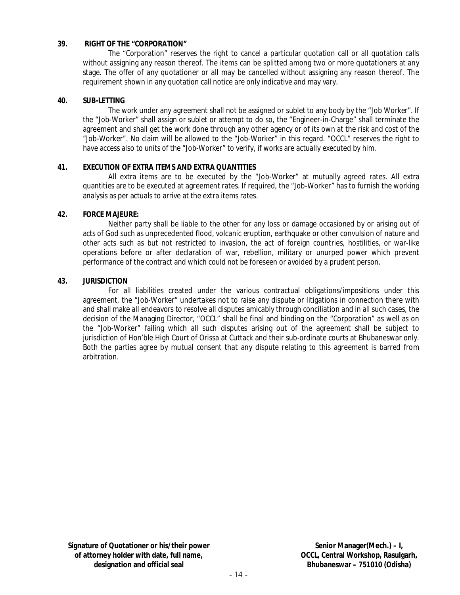#### **39. RIGHT OF THE "CORPORATION"**

The "Corporation" reserves the right to cancel a particular quotation call or all quotation calls without assigning any reason thereof. The items can be splitted among two or more quotationers at any stage. The offer of any quotationer or all may be cancelled without assigning any reason thereof. The requirement shown in any quotation call notice are only indicative and may vary.

#### **40. SUB-LETTING**

The work under any agreement shall not be assigned or sublet to any body by the "Job Worker". If the "Job-Worker" shall assign or sublet or attempt to do so, the "Engineer-in-Charge" shall terminate the agreement and shall get the work done through any other agency or of its own at the risk and cost of the "Job-Worker". No claim will be allowed to the "Job-Worker" in this regard. "OCCL" reserves the right to have access also to units of the "Job-Worker" to verify, if works are actually executed by him.

#### **41. EXECUTION OF EXTRA ITEMS AND EXTRA QUANTITIES**

All extra items are to be executed by the "Job-Worker" at mutually agreed rates. All extra quantities are to be executed at agreement rates. If required, the "Job-Worker" has to furnish the working analysis as per actuals to arrive at the extra items rates.

#### **42. FORCE MAJEURE:**

Neither party shall be liable to the other for any loss or damage occasioned by or arising out of acts of God such as unprecedented flood, volcanic eruption, earthquake or other convulsion of nature and other acts such as but not restricted to invasion, the act of foreign countries, hostilities, or war-like operations before or after declaration of war, rebellion, military or unurped power which prevent performance of the contract and which could not be foreseen or avoided by a prudent person.

#### **43. JURISDICTION**

For all liabilities created under the various contractual obligations/impositions under this agreement, the "Job-Worker" undertakes not to raise any dispute or litigations in connection there with and shall make all endeavors to resolve all disputes amicably through conciliation and in all such cases, the decision of the Managing Director, "OCCL" shall be final and binding on the "Corporation" as well as on the "Job-Worker" failing which all such disputes arising out of the agreement shall be subject to jurisdiction of Hon'ble High Court of Orissa at Cuttack and their sub-ordinate courts at Bhubaneswar only. Both the parties agree by mutual consent that any dispute relating to this agreement is barred from arbitration.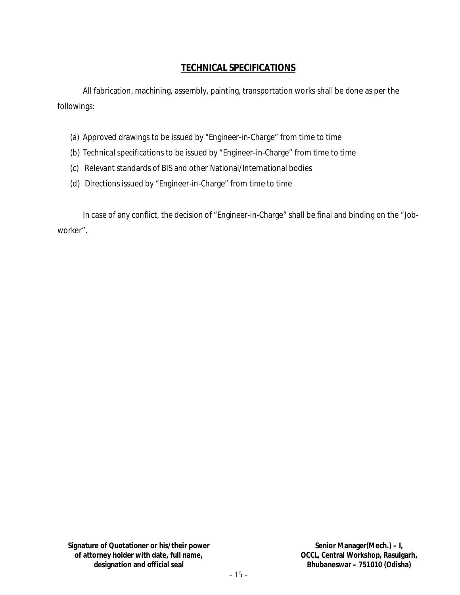## **TECHNICAL SPECIFICATIONS**

All fabrication, machining, assembly, painting, transportation works shall be done as per the followings:

- (a) Approved drawings to be issued by "Engineer-in-Charge" from time to time
- (b) Technical specifications to be issued by "Engineer-in-Charge" from time to time
- (c) Relevant standards of BIS and other National/International bodies
- (d) Directions issued by "Engineer-in-Charge" from time to time

In case of any conflict, the decision of "Engineer-in-Charge" shall be final and binding on the "Jobworker".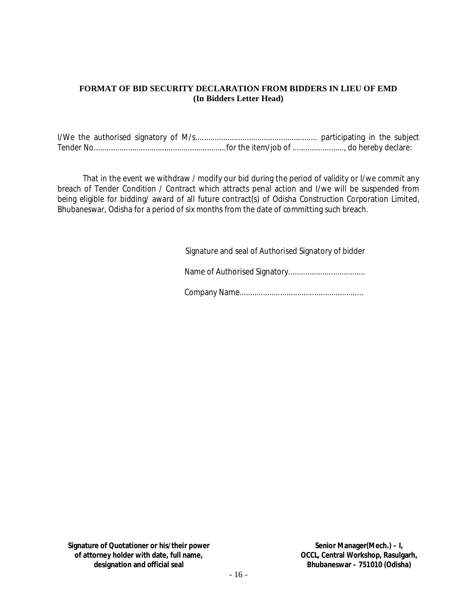### **FORMAT OF BID SECURITY DECLARATION FROM BIDDERS IN LIEU OF EMD (In Bidders Letter Head)**

That in the event we withdraw / modify our bid during the period of validity or I/we commit any breach of Tender Condition / Contract which attracts penal action and I/we will be suspended from being eligible for bidding/ award of all future contract(s) of Odisha Construction Corporation Limited, Bhubaneswar, Odisha for a period of six months from the date of committing such breach.

Signature and seal of Authorised Signatory of bidder

Name of Authorised Signatory....................................

Company Name..........................................................

**Signature of Quotationer or his/their power of attorney holder with date, full name, designation and official seal**